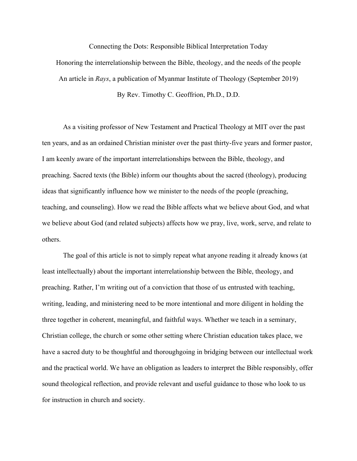Connecting the Dots: Responsible Biblical Interpretation Today

Honoring the interrelationship between the Bible, theology, and the needs of the people An article in *Rays*, a publication of Myanmar Institute of Theology (September 2019)

By Rev. Timothy C. Geoffrion, Ph.D., D.D.

As a visiting professor of New Testament and Practical Theology at MIT over the past ten years, and as an ordained Christian minister over the past thirty-five years and former pastor, I am keenly aware of the important interrelationships between the Bible, theology, and preaching. Sacred texts (the Bible) inform our thoughts about the sacred (theology), producing ideas that significantly influence how we minister to the needs of the people (preaching, teaching, and counseling). How we read the Bible affects what we believe about God, and what we believe about God (and related subjects) affects how we pray, live, work, serve, and relate to others.

The goal of this article is not to simply repeat what anyone reading it already knows (at least intellectually) about the important interrelationship between the Bible, theology, and preaching. Rather, I'm writing out of a conviction that those of us entrusted with teaching, writing, leading, and ministering need to be more intentional and more diligent in holding the three together in coherent, meaningful, and faithful ways. Whether we teach in a seminary, Christian college, the church or some other setting where Christian education takes place, we have a sacred duty to be thoughtful and thoroughgoing in bridging between our intellectual work and the practical world. We have an obligation as leaders to interpret the Bible responsibly, offer sound theological reflection, and provide relevant and useful guidance to those who look to us for instruction in church and society.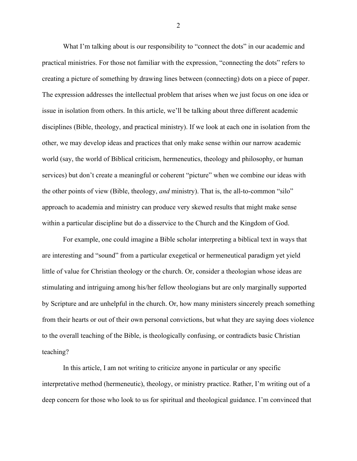What I'm talking about is our responsibility to "connect the dots" in our academic and practical ministries. For those not familiar with the expression, "connecting the dots" refers to creating a picture of something by drawing lines between (connecting) dots on a piece of paper. The expression addresses the intellectual problem that arises when we just focus on one idea or issue in isolation from others. In this article, we'll be talking about three different academic disciplines (Bible, theology, and practical ministry). If we look at each one in isolation from the other, we may develop ideas and practices that only make sense within our narrow academic world (say, the world of Biblical criticism, hermeneutics, theology and philosophy, or human services) but don't create a meaningful or coherent "picture" when we combine our ideas with the other points of view (Bible, theology, *and* ministry). That is, the all-to-common "silo" approach to academia and ministry can produce very skewed results that might make sense within a particular discipline but do a disservice to the Church and the Kingdom of God.

For example, one could imagine a Bible scholar interpreting a biblical text in ways that are interesting and "sound" from a particular exegetical or hermeneutical paradigm yet yield little of value for Christian theology or the church. Or, consider a theologian whose ideas are stimulating and intriguing among his/her fellow theologians but are only marginally supported by Scripture and are unhelpful in the church. Or, how many ministers sincerely preach something from their hearts or out of their own personal convictions, but what they are saying does violence to the overall teaching of the Bible, is theologically confusing, or contradicts basic Christian teaching?

In this article, I am not writing to criticize anyone in particular or any specific interpretative method (hermeneutic), theology, or ministry practice. Rather, I'm writing out of a deep concern for those who look to us for spiritual and theological guidance. I'm convinced that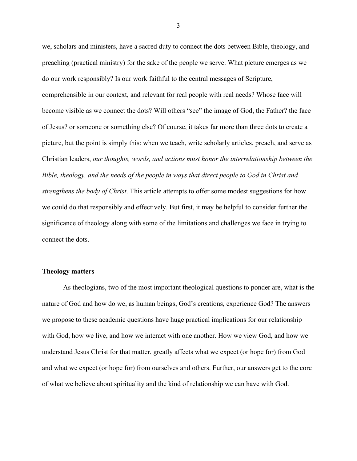we, scholars and ministers, have a sacred duty to connect the dots between Bible, theology, and preaching (practical ministry) for the sake of the people we serve. What picture emerges as we do our work responsibly? Is our work faithful to the central messages of Scripture, comprehensible in our context, and relevant for real people with real needs? Whose face will become visible as we connect the dots? Will others "see" the image of God, the Father? the face of Jesus? or someone or something else? Of course, it takes far more than three dots to create a picture, but the point is simply this: when we teach, write scholarly articles, preach, and serve as Christian leaders, *our thoughts, words, and actions must honor the interrelationship between the Bible, theology, and the needs of the people in ways that direct people to God in Christ and strengthens the body of Christ*. This article attempts to offer some modest suggestions for how we could do that responsibly and effectively. But first, it may be helpful to consider further the significance of theology along with some of the limitations and challenges we face in trying to connect the dots.

#### **Theology matters**

As theologians, two of the most important theological questions to ponder are, what is the nature of God and how do we, as human beings, God's creations, experience God? The answers we propose to these academic questions have huge practical implications for our relationship with God, how we live, and how we interact with one another. How we view God, and how we understand Jesus Christ for that matter, greatly affects what we expect (or hope for) from God and what we expect (or hope for) from ourselves and others. Further, our answers get to the core of what we believe about spirituality and the kind of relationship we can have with God.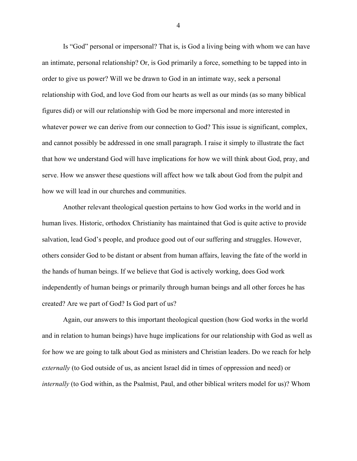Is "God" personal or impersonal? That is, is God a living being with whom we can have an intimate, personal relationship? Or, is God primarily a force, something to be tapped into in order to give us power? Will we be drawn to God in an intimate way, seek a personal relationship with God, and love God from our hearts as well as our minds (as so many biblical figures did) or will our relationship with God be more impersonal and more interested in whatever power we can derive from our connection to God? This issue is significant, complex, and cannot possibly be addressed in one small paragraph. I raise it simply to illustrate the fact that how we understand God will have implications for how we will think about God, pray, and serve. How we answer these questions will affect how we talk about God from the pulpit and how we will lead in our churches and communities.

Another relevant theological question pertains to how God works in the world and in human lives. Historic, orthodox Christianity has maintained that God is quite active to provide salvation, lead God's people, and produce good out of our suffering and struggles. However, others consider God to be distant or absent from human affairs, leaving the fate of the world in the hands of human beings. If we believe that God is actively working, does God work independently of human beings or primarily through human beings and all other forces he has created? Are we part of God? Is God part of us?

Again, our answers to this important theological question (how God works in the world and in relation to human beings) have huge implications for our relationship with God as well as for how we are going to talk about God as ministers and Christian leaders. Do we reach for help *externally* (to God outside of us, as ancient Israel did in times of oppression and need) or *internally* (to God within, as the Psalmist, Paul, and other biblical writers model for us)? Whom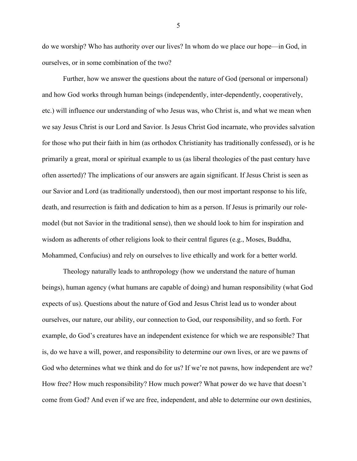do we worship? Who has authority over our lives? In whom do we place our hope—in God, in ourselves, or in some combination of the two?

Further, how we answer the questions about the nature of God (personal or impersonal) and how God works through human beings (independently, inter-dependently, cooperatively, etc.) will influence our understanding of who Jesus was, who Christ is, and what we mean when we say Jesus Christ is our Lord and Savior. Is Jesus Christ God incarnate, who provides salvation for those who put their faith in him (as orthodox Christianity has traditionally confessed), or is he primarily a great, moral or spiritual example to us (as liberal theologies of the past century have often asserted)? The implications of our answers are again significant. If Jesus Christ is seen as our Savior and Lord (as traditionally understood), then our most important response to his life, death, and resurrection is faith and dedication to him as a person. If Jesus is primarily our rolemodel (but not Savior in the traditional sense), then we should look to him for inspiration and wisdom as adherents of other religions look to their central figures (e.g., Moses, Buddha, Mohammed, Confucius) and rely on ourselves to live ethically and work for a better world.

Theology naturally leads to anthropology (how we understand the nature of human beings), human agency (what humans are capable of doing) and human responsibility (what God expects of us). Questions about the nature of God and Jesus Christ lead us to wonder about ourselves, our nature, our ability, our connection to God, our responsibility, and so forth. For example, do God's creatures have an independent existence for which we are responsible? That is, do we have a will, power, and responsibility to determine our own lives, or are we pawns of God who determines what we think and do for us? If we're not pawns, how independent are we? How free? How much responsibility? How much power? What power do we have that doesn't come from God? And even if we are free, independent, and able to determine our own destinies,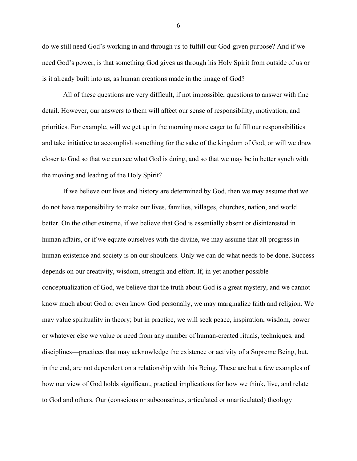do we still need God's working in and through us to fulfill our God-given purpose? And if we need God's power, is that something God gives us through his Holy Spirit from outside of us or is it already built into us, as human creations made in the image of God?

All of these questions are very difficult, if not impossible, questions to answer with fine detail. However, our answers to them will affect our sense of responsibility, motivation, and priorities. For example, will we get up in the morning more eager to fulfill our responsibilities and take initiative to accomplish something for the sake of the kingdom of God, or will we draw closer to God so that we can see what God is doing, and so that we may be in better synch with the moving and leading of the Holy Spirit?

If we believe our lives and history are determined by God, then we may assume that we do not have responsibility to make our lives, families, villages, churches, nation, and world better. On the other extreme, if we believe that God is essentially absent or disinterested in human affairs, or if we equate ourselves with the divine, we may assume that all progress in human existence and society is on our shoulders. Only we can do what needs to be done. Success depends on our creativity, wisdom, strength and effort. If, in yet another possible conceptualization of God, we believe that the truth about God is a great mystery, and we cannot know much about God or even know God personally, we may marginalize faith and religion. We may value spirituality in theory; but in practice, we will seek peace, inspiration, wisdom, power or whatever else we value or need from any number of human-created rituals, techniques, and disciplines—practices that may acknowledge the existence or activity of a Supreme Being, but, in the end, are not dependent on a relationship with this Being. These are but a few examples of how our view of God holds significant, practical implications for how we think, live, and relate to God and others. Our (conscious or subconscious, articulated or unarticulated) theology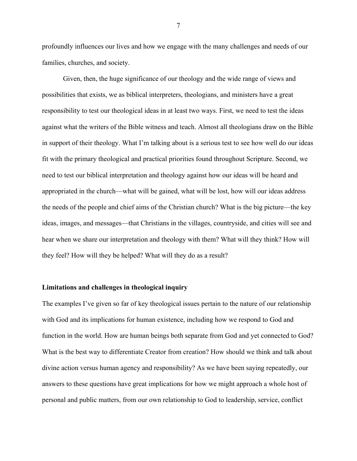profoundly influences our lives and how we engage with the many challenges and needs of our families, churches, and society.

Given, then, the huge significance of our theology and the wide range of views and possibilities that exists, we as biblical interpreters, theologians, and ministers have a great responsibility to test our theological ideas in at least two ways. First, we need to test the ideas against what the writers of the Bible witness and teach. Almost all theologians draw on the Bible in support of their theology. What I'm talking about is a serious test to see how well do our ideas fit with the primary theological and practical priorities found throughout Scripture. Second, we need to test our biblical interpretation and theology against how our ideas will be heard and appropriated in the church—what will be gained, what will be lost, how will our ideas address the needs of the people and chief aims of the Christian church? What is the big picture—the key ideas, images, and messages—that Christians in the villages, countryside, and cities will see and hear when we share our interpretation and theology with them? What will they think? How will they feel? How will they be helped? What will they do as a result?

# **Limitations and challenges in theological inquiry**

The examples I've given so far of key theological issues pertain to the nature of our relationship with God and its implications for human existence, including how we respond to God and function in the world. How are human beings both separate from God and yet connected to God? What is the best way to differentiate Creator from creation? How should we think and talk about divine action versus human agency and responsibility? As we have been saying repeatedly, our answers to these questions have great implications for how we might approach a whole host of personal and public matters, from our own relationship to God to leadership, service, conflict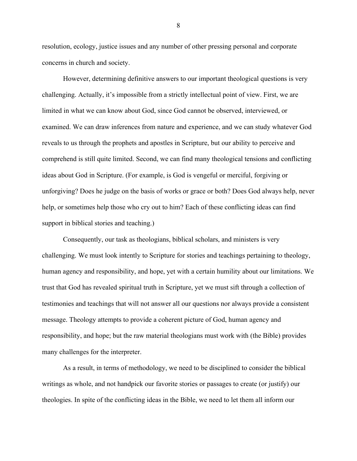resolution, ecology, justice issues and any number of other pressing personal and corporate concerns in church and society.

However, determining definitive answers to our important theological questions is very challenging. Actually, it's impossible from a strictly intellectual point of view. First, we are limited in what we can know about God, since God cannot be observed, interviewed, or examined. We can draw inferences from nature and experience, and we can study whatever God reveals to us through the prophets and apostles in Scripture, but our ability to perceive and comprehend is still quite limited. Second, we can find many theological tensions and conflicting ideas about God in Scripture. (For example, is God is vengeful or merciful, forgiving or unforgiving? Does he judge on the basis of works or grace or both? Does God always help, never help, or sometimes help those who cry out to him? Each of these conflicting ideas can find support in biblical stories and teaching.)

Consequently, our task as theologians, biblical scholars, and ministers is very challenging. We must look intently to Scripture for stories and teachings pertaining to theology, human agency and responsibility, and hope, yet with a certain humility about our limitations. We trust that God has revealed spiritual truth in Scripture, yet we must sift through a collection of testimonies and teachings that will not answer all our questions nor always provide a consistent message. Theology attempts to provide a coherent picture of God, human agency and responsibility, and hope; but the raw material theologians must work with (the Bible) provides many challenges for the interpreter.

As a result, in terms of methodology, we need to be disciplined to consider the biblical writings as whole, and not handpick our favorite stories or passages to create (or justify) our theologies. In spite of the conflicting ideas in the Bible, we need to let them all inform our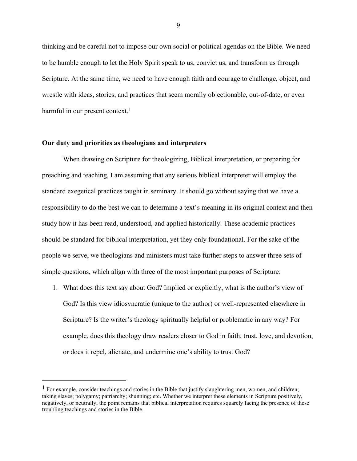thinking and be careful not to impose our own social or political agendas on the Bible. We need to be humble enough to let the Holy Spirit speak to us, convict us, and transform us through Scripture. At the same time, we need to have enough faith and courage to challenge, object, and wrestle with ideas, stories, and practices that seem morally objectionable, out-of-date, or even harmful in our present context.<sup>1</sup>

# **Our duty and priorities as theologians and interpreters**

When drawing on Scripture for theologizing, Biblical interpretation, or preparing for preaching and teaching, I am assuming that any serious biblical interpreter will employ the standard exegetical practices taught in seminary. It should go without saying that we have a responsibility to do the best we can to determine a text's meaning in its original context and then study how it has been read, understood, and applied historically. These academic practices should be standard for biblical interpretation, yet they only foundational. For the sake of the people we serve, we theologians and ministers must take further steps to answer three sets of simple questions, which align with three of the most important purposes of Scripture:

1. What does this text say about God? Implied or explicitly, what is the author's view of God? Is this view idiosyncratic (unique to the author) or well-represented elsewhere in Scripture? Is the writer's theology spiritually helpful or problematic in any way? For example, does this theology draw readers closer to God in faith, trust, love, and devotion, or does it repel, alienate, and undermine one's ability to trust God?

 $<sup>1</sup>$  For example, consider teachings and stories in the Bible that justify slaughtering men, women, and children;</sup> taking slaves; polygamy; patriarchy; shunning; etc. Whether we interpret these elements in Scripture positively, negatively, or neutrally, the point remains that biblical interpretation requires squarely facing the presence of these troubling teachings and stories in the Bible.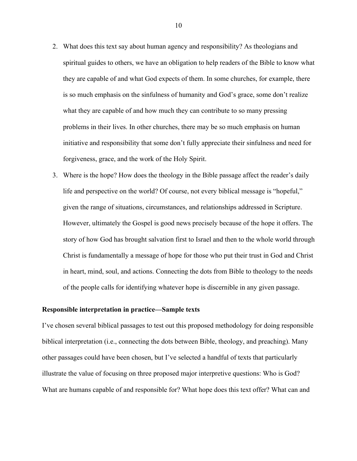- 2. What does this text say about human agency and responsibility? As theologians and spiritual guides to others, we have an obligation to help readers of the Bible to know what they are capable of and what God expects of them. In some churches, for example, there is so much emphasis on the sinfulness of humanity and God's grace, some don't realize what they are capable of and how much they can contribute to so many pressing problems in their lives. In other churches, there may be so much emphasis on human initiative and responsibility that some don't fully appreciate their sinfulness and need for forgiveness, grace, and the work of the Holy Spirit.
- 3. Where is the hope? How does the theology in the Bible passage affect the reader's daily life and perspective on the world? Of course, not every biblical message is "hopeful," given the range of situations, circumstances, and relationships addressed in Scripture. However, ultimately the Gospel is good news precisely because of the hope it offers. The story of how God has brought salvation first to Israel and then to the whole world through Christ is fundamentally a message of hope for those who put their trust in God and Christ in heart, mind, soul, and actions. Connecting the dots from Bible to theology to the needs of the people calls for identifying whatever hope is discernible in any given passage.

#### **Responsible interpretation in practice—Sample texts**

I've chosen several biblical passages to test out this proposed methodology for doing responsible biblical interpretation (i.e., connecting the dots between Bible, theology, and preaching). Many other passages could have been chosen, but I've selected a handful of texts that particularly illustrate the value of focusing on three proposed major interpretive questions: Who is God? What are humans capable of and responsible for? What hope does this text offer? What can and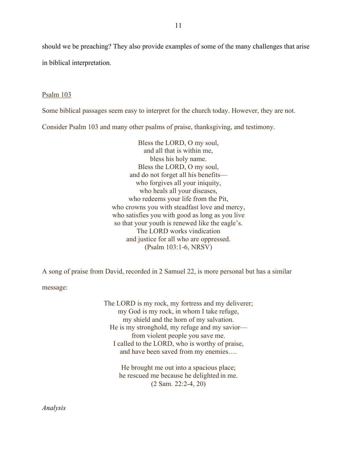should we be preaching? They also provide examples of some of the many challenges that arise in biblical interpretation.

#### Psalm 103

Some biblical passages seem easy to interpret for the church today. However, they are not.

Consider Psalm 103 and many other psalms of praise, thanksgiving, and testimony.

Bless the LORD, O my soul, and all that is within me, bless his holy name. Bless the LORD, O my soul, and do not forget all his benefits who forgives all your iniquity, who heals all your diseases, who redeems your life from the Pit, who crowns you with steadfast love and mercy, who satisfies you with good as long as you live so that your youth is renewed like the eagle's. The LORD works vindication and justice for all who are oppressed. (Psalm 103:1-6, NRSV)

A song of praise from David, recorded in 2 Samuel 22, is more personal but has a similar

message:

The LORD is my rock, my fortress and my deliverer; my God is my rock, in whom I take refuge, my shield and the horn of my salvation. He is my stronghold, my refuge and my savior from violent people you save me. I called to the LORD, who is worthy of praise, and have been saved from my enemies….

> He brought me out into a spacious place; he rescued me because he delighted in me. (2 Sam. 22:2-4, 20)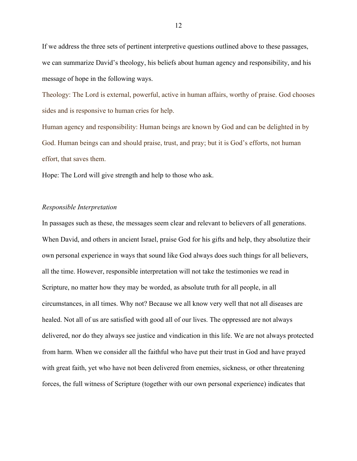If we address the three sets of pertinent interpretive questions outlined above to these passages, we can summarize David's theology, his beliefs about human agency and responsibility, and his message of hope in the following ways.

Theology: The Lord is external, powerful, active in human affairs, worthy of praise. God chooses sides and is responsive to human cries for help.

Human agency and responsibility: Human beings are known by God and can be delighted in by God. Human beings can and should praise, trust, and pray; but it is God's efforts, not human effort, that saves them.

Hope: The Lord will give strength and help to those who ask.

#### *Responsible Interpretation*

In passages such as these, the messages seem clear and relevant to believers of all generations. When David, and others in ancient Israel, praise God for his gifts and help, they absolutize their own personal experience in ways that sound like God always does such things for all believers, all the time. However, responsible interpretation will not take the testimonies we read in Scripture, no matter how they may be worded, as absolute truth for all people, in all circumstances, in all times. Why not? Because we all know very well that not all diseases are healed. Not all of us are satisfied with good all of our lives. The oppressed are not always delivered, nor do they always see justice and vindication in this life. We are not always protected from harm. When we consider all the faithful who have put their trust in God and have prayed with great faith, yet who have not been delivered from enemies, sickness, or other threatening forces, the full witness of Scripture (together with our own personal experience) indicates that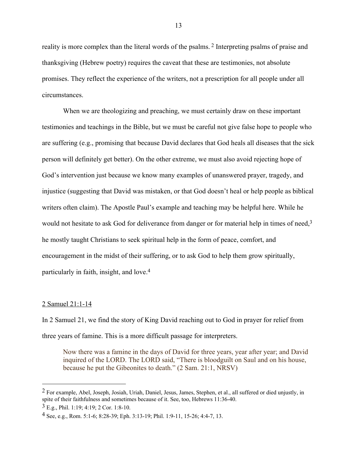reality is more complex than the literal words of the psalms. 2 Interpreting psalms of praise and thanksgiving (Hebrew poetry) requires the caveat that these are testimonies, not absolute promises. They reflect the experience of the writers, not a prescription for all people under all circumstances.

When we are theologizing and preaching, we must certainly draw on these important testimonies and teachings in the Bible, but we must be careful not give false hope to people who are suffering (e.g., promising that because David declares that God heals all diseases that the sick person will definitely get better). On the other extreme, we must also avoid rejecting hope of God's intervention just because we know many examples of unanswered prayer, tragedy, and injustice (suggesting that David was mistaken, or that God doesn't heal or help people as biblical writers often claim). The Apostle Paul's example and teaching may be helpful here. While he would not hesitate to ask God for deliverance from danger or for material help in times of need,<sup>3</sup> he mostly taught Christians to seek spiritual help in the form of peace, comfort, and encouragement in the midst of their suffering, or to ask God to help them grow spiritually, particularly in faith, insight, and love. 4

# 2 Samuel 21:1-14

In 2 Samuel 21, we find the story of King David reaching out to God in prayer for relief from three years of famine. This is a more difficult passage for interpreters.

Now there was a famine in the days of David for three years, year after year; and David inquired of the LORD. The LORD said, "There is bloodguilt on Saul and on his house, because he put the Gibeonites to death." (2 Sam. 21:1, NRSV)

 $2$  For example, Abel, Joseph, Josiah, Uriah, Daniel, Jesus, James, Stephen, et al., all suffered or died unjustly, in spite of their faithfulness and sometimes because of it. See, too, Hebrews 11:36-40.

<sup>3</sup> E.g., Phil. 1:19; 4:19; 2 Cor. 1:8-10.

<sup>4</sup> See, e.g., Rom. 5:1-6; 8:28-39; Eph. 3:13-19; Phil. 1:9-11, 15-26; 4:4-7, 13.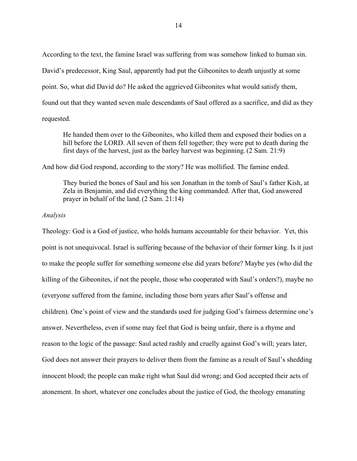According to the text, the famine Israel was suffering from was somehow linked to human sin. David's predecessor, King Saul, apparently had put the Gibeonites to death unjustly at some point. So, what did David do? He asked the aggrieved Gibeonites what would satisfy them, found out that they wanted seven male descendants of Saul offered as a sacrifice, and did as they requested.

He handed them over to the Gibeonites, who killed them and exposed their bodies on a hill before the LORD. All seven of them fell together; they were put to death during the first days of the harvest, just as the barley harvest was beginning. (2 Sam. 21:9)

And how did God respond, according to the story? He was mollified. The famine ended.

They buried the bones of Saul and his son Jonathan in the tomb of Saul's father Kish, at Zela in Benjamin, and did everything the king commanded. After that, God answered prayer in behalf of the land. (2 Sam. 21:14)

#### *Analysis*

Theology: God is a God of justice, who holds humans accountable for their behavior. Yet, this point is not unequivocal. Israel is suffering because of the behavior of their former king. Is it just to make the people suffer for something someone else did years before? Maybe yes (who did the killing of the Gibeonites, if not the people, those who cooperated with Saul's orders?), maybe no (everyone suffered from the famine, including those born years after Saul's offense and children). One's point of view and the standards used for judging God's fairness determine one's answer. Nevertheless, even if some may feel that God is being unfair, there is a rhyme and reason to the logic of the passage: Saul acted rashly and cruelly against God's will; years later, God does not answer their prayers to deliver them from the famine as a result of Saul's shedding innocent blood; the people can make right what Saul did wrong; and God accepted their acts of atonement. In short, whatever one concludes about the justice of God, the theology emanating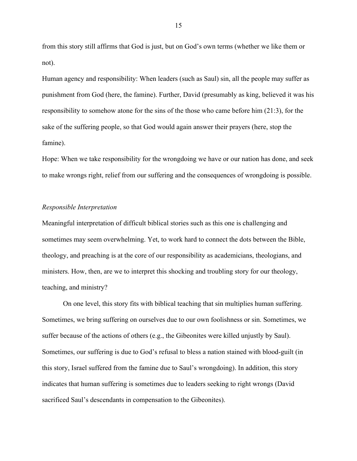from this story still affirms that God is just, but on God's own terms (whether we like them or not).

Human agency and responsibility: When leaders (such as Saul) sin, all the people may suffer as punishment from God (here, the famine). Further, David (presumably as king, believed it was his responsibility to somehow atone for the sins of the those who came before him (21:3), for the sake of the suffering people, so that God would again answer their prayers (here, stop the famine).

Hope: When we take responsibility for the wrongdoing we have or our nation has done, and seek to make wrongs right, relief from our suffering and the consequences of wrongdoing is possible.

#### *Responsible Interpretation*

Meaningful interpretation of difficult biblical stories such as this one is challenging and sometimes may seem overwhelming. Yet, to work hard to connect the dots between the Bible, theology, and preaching is at the core of our responsibility as academicians, theologians, and ministers. How, then, are we to interpret this shocking and troubling story for our theology, teaching, and ministry?

On one level, this story fits with biblical teaching that sin multiplies human suffering. Sometimes, we bring suffering on ourselves due to our own foolishness or sin. Sometimes, we suffer because of the actions of others (e.g., the Gibeonites were killed unjustly by Saul). Sometimes, our suffering is due to God's refusal to bless a nation stained with blood-guilt (in this story, Israel suffered from the famine due to Saul's wrongdoing). In addition, this story indicates that human suffering is sometimes due to leaders seeking to right wrongs (David sacrificed Saul's descendants in compensation to the Gibeonites).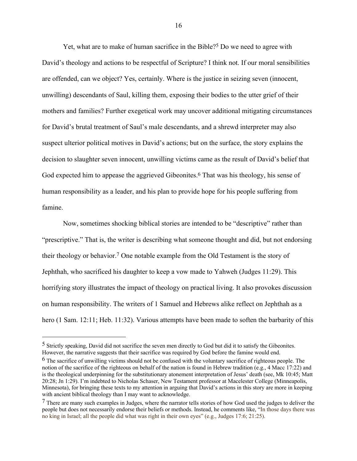Yet, what are to make of human sacrifice in the Bible?<sup>5</sup> Do we need to agree with David's theology and actions to be respectful of Scripture? I think not. If our moral sensibilities are offended, can we object? Yes, certainly. Where is the justice in seizing seven (innocent, unwilling) descendants of Saul, killing them, exposing their bodies to the utter grief of their mothers and families? Further exegetical work may uncover additional mitigating circumstances for David's brutal treatment of Saul's male descendants, and a shrewd interpreter may also suspect ulterior political motives in David's actions; but on the surface, the story explains the decision to slaughter seven innocent, unwilling victims came as the result of David's belief that God expected him to appease the aggrieved Gibeonites.<sup>6</sup> That was his theology, his sense of human responsibility as a leader, and his plan to provide hope for his people suffering from famine.

Now, sometimes shocking biblical stories are intended to be "descriptive" rather than "prescriptive." That is, the writer is describing what someone thought and did, but not endorsing their theology or behavior. 7 One notable example from the Old Testament is the story of Jephthah, who sacrificed his daughter to keep a vow made to Yahweh (Judges 11:29). This horrifying story illustrates the impact of theology on practical living. It also provokes discussion on human responsibility. The writers of 1 Samuel and Hebrews alike reflect on Jephthah as a hero (1 Sam. 12:11; Heb. 11:32). Various attempts have been made to soften the barbarity of this

<sup>5</sup> Strictly speaking, David did not sacrifice the seven men directly to God but did it to satisfy the Gibeonites. However, the narrative suggests that their sacrifice was required by God before the famine would end.

<sup>&</sup>lt;sup>6</sup> The sacrifice of unwilling victims should not be confused with the voluntary sacrifice of righteous people. The notion of the sacrifice of the righteous on behalf of the nation is found in Hebrew tradition (e.g., 4 Macc 17:22) and is the theological underpinning for the substitutionary atonement interpretation of Jesus' death (see, Mk 10:45; Matt 20:28; Jn 1:29). I'm indebted to Nicholas Schaser, New Testament professor at Macelester College (Minneapolis, Minnesota), for bringing these texts to my attention in arguing that David's actions in this story are more in keeping with ancient biblical theology than I may want to acknowledge.

<sup>7</sup> There are many such examples in Judges, where the narrator tells stories of how God used the judges to deliver the people but does not necessarily endorse their beliefs or methods. Instead, he comments like, "In those days there was no king in Israel; all the people did what was right in their own eyes" (e.g., Judges 17:6; 21:25).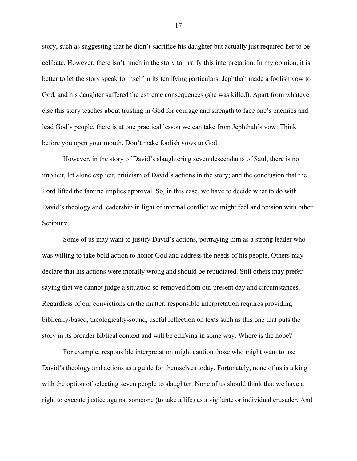story, such as suggesting that he didn't sacrifice his daughter but actually just required her to be celibate. However, there isn't much in the story to justify this interpretation. In my opinion, it is better to let the story speak for itself in its terrifying particulars: Jephthah made a foolish vow to God, and his daughter suffered the extreme consequences (she was killed). Apart from whatever else this story teaches about trusting in God for courage and strength to face one's enemies and lead God's people, there is at one practical lesson we can take from Jephthah's vow: Think before you open your mouth. Don't make foolish vows to God.

However, in the story of David's slaughtering seven descendants of Saul, there is no implicit, let alone explicit, criticism of David's actions in the story; and the conclusion that the Lord lifted the famine implies approval. So, in this case, we have to decide what to do with David's theology and leadership in light of internal conflict we might feel and tension with other Scripture.

Some of us may want to justify David's actions, portraying him as a strong leader who was willing to take bold action to honor God and address the needs of his people. Others may declare that his actions were morally wrong and should be repudiated. Still others may prefer saying that we cannot judge a situation so removed from our present day and circumstances. Regardless of our convictions on the matter, responsible interpretation requires providing biblically-based, theologically-sound, useful reflection on texts such as this one that puts the story in its broader biblical context and will be edifying in some way. Where is the hope?

For example, responsible interpretation might caution those who might want to use David's theology and actions as a guide for themselves today. Fortunately, none of us is a king with the option of selecting seven people to slaughter. None of us should think that we have a right to execute justice against someone (to take a life) as a vigilante or individual crusader. And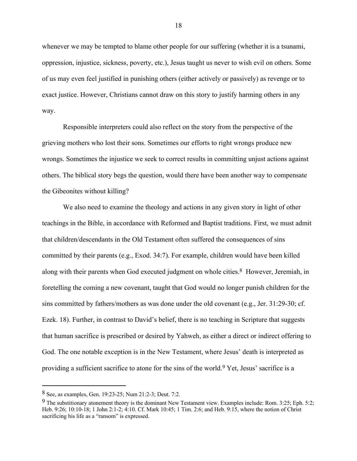whenever we may be tempted to blame other people for our suffering (whether it is a tsunami, oppression, injustice, sickness, poverty, etc.), Jesus taught us never to wish evil on others. Some of us may even feel justified in punishing others (either actively or passively) as revenge or to exact justice. However, Christians cannot draw on this story to justify harming others in any way.

Responsible interpreters could also reflect on the story from the perspective of the grieving mothers who lost their sons. Sometimes our efforts to right wrongs produce new wrongs. Sometimes the injustice we seek to correct results in committing unjust actions against others. The biblical story begs the question, would there have been another way to compensate the Gibeonites without killing?

We also need to examine the theology and actions in any given story in light of other teachings in the Bible, in accordance with Reformed and Baptist traditions. First, we must admit that children/descendants in the Old Testament often suffered the consequences of sins committed by their parents (e.g., Exod. 34:7). For example, children would have been killed along with their parents when God executed judgment on whole cities.<sup>8</sup> However, Jeremiah, in foretelling the coming a new covenant, taught that God would no longer punish children for the sins committed by fathers/mothers as was done under the old covenant (e.g., Jer. 31:29-30; cf. Ezek. 18). Further, in contrast to David's belief, there is no teaching in Scripture that suggests that human sacrifice is prescribed or desired by Yahweh, as either a direct or indirect offering to God. The one notable exception is in the New Testament, where Jesus' death is interpreted as providing a sufficient sacrifice to atone for the sins of the world.<sup>9</sup> Yet, Jesus' sacrifice is a

<sup>8</sup> See, as examples, Gen. 19:23-25; Num 21:2-3; Deut. 7:2.

<sup>9</sup> The substitionary atonement theory is the dominant New Testament view. Examples include: Rom. 3:25; Eph. 5:2; Heb. 9:26; 10:10-18; 1 John 2:1-2; 4:10. Cf. Mark 10:45; 1 Tim. 2:6; and Heb. 9:15, where the notion of Christ sacrificing his life as a "ransom" is expressed.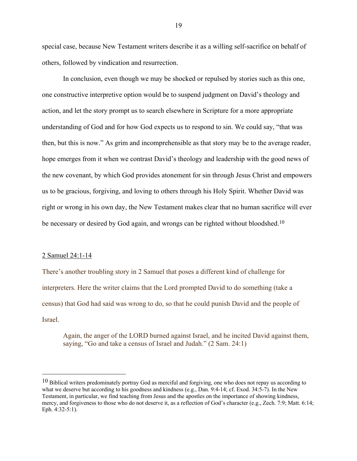special case, because New Testament writers describe it as a willing self-sacrifice on behalf of others, followed by vindication and resurrection.

In conclusion, even though we may be shocked or repulsed by stories such as this one, one constructive interpretive option would be to suspend judgment on David's theology and action, and let the story prompt us to search elsewhere in Scripture for a more appropriate understanding of God and for how God expects us to respond to sin. We could say, "that was then, but this is now." As grim and incomprehensible as that story may be to the average reader, hope emerges from it when we contrast David's theology and leadership with the good news of the new covenant, by which God provides atonement for sin through Jesus Christ and empowers us to be gracious, forgiving, and loving to others through his Holy Spirit. Whether David was right or wrong in his own day, the New Testament makes clear that no human sacrifice will ever be necessary or desired by God again, and wrongs can be righted without bloodshed.<sup>10</sup>

# 2 Samuel 24:1-14

There's another troubling story in 2 Samuel that poses a different kind of challenge for interpreters. Here the writer claims that the Lord prompted David to do something (take a census) that God had said was wrong to do, so that he could punish David and the people of Israel.

Again, the anger of the LORD burned against Israel, and he incited David against them, saying, "Go and take a census of Israel and Judah." (2 Sam. 24:1)

 $10$  Biblical writers predominately portray God as merciful and forgiving, one who does not repay us according to what we deserve but according to his goodness and kindness (e.g., Dan. 9:4-14; cf. Exod. 34:5-7). In the New Testament, in particular, we find teaching from Jesus and the apostles on the importance of showing kindness, mercy, and forgiveness to those who do not deserve it, as a reflection of God's character (e.g., Zech. 7:9; Matt. 6:14; Eph. 4:32-5:1).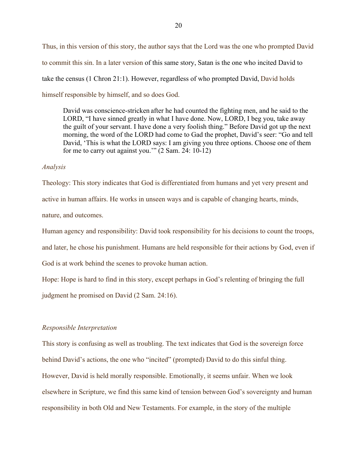Thus, in this version of this story, the author says that the Lord was the one who prompted David to commit this sin. In a later version of this same story, Satan is the one who incited David to take the census (1 Chron 21:1). However, regardless of who prompted David, David holds himself responsible by himself, and so does God.

David was conscience-stricken after he had counted the fighting men, and he said to the LORD, "I have sinned greatly in what I have done. Now, LORD, I beg you, take away the guilt of your servant. I have done a very foolish thing." Before David got up the next morning, the word of the LORD had come to Gad the prophet, David's seer: "Go and tell David, 'This is what the LORD says: I am giving you three options. Choose one of them for me to carry out against you.'" (2 Sam. 24: 10-12)

# *Analysis*

Theology: This story indicates that God is differentiated from humans and yet very present and active in human affairs. He works in unseen ways and is capable of changing hearts, minds, nature, and outcomes.

Human agency and responsibility: David took responsibility for his decisions to count the troops,

and later, he chose his punishment. Humans are held responsible for their actions by God, even if

God is at work behind the scenes to provoke human action.

Hope: Hope is hard to find in this story, except perhaps in God's relenting of bringing the full

judgment he promised on David (2 Sam. 24:16).

# *Responsible Interpretation*

This story is confusing as well as troubling. The text indicates that God is the sovereign force behind David's actions, the one who "incited" (prompted) David to do this sinful thing. However, David is held morally responsible. Emotionally, it seems unfair. When we look elsewhere in Scripture, we find this same kind of tension between God's sovereignty and human responsibility in both Old and New Testaments. For example, in the story of the multiple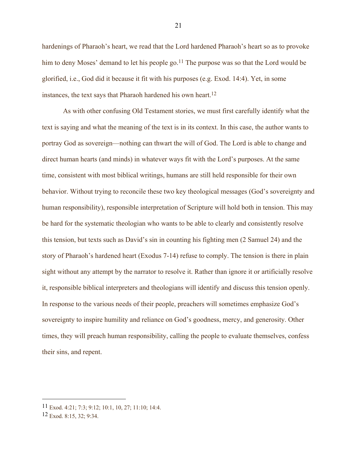hardenings of Pharaoh's heart, we read that the Lord hardened Pharaoh's heart so as to provoke him to deny Moses' demand to let his people go.<sup>11</sup> The purpose was so that the Lord would be glorified, i.e., God did it because it fit with his purposes (e.g. Exod. 14:4). Yet, in some instances, the text says that Pharaoh hardened his own heart. 12

As with other confusing Old Testament stories, we must first carefully identify what the text is saying and what the meaning of the text is in its context. In this case, the author wants to portray God as sovereign—nothing can thwart the will of God. The Lord is able to change and direct human hearts (and minds) in whatever ways fit with the Lord's purposes. At the same time, consistent with most biblical writings, humans are still held responsible for their own behavior. Without trying to reconcile these two key theological messages (God's sovereignty and human responsibility), responsible interpretation of Scripture will hold both in tension. This may be hard for the systematic theologian who wants to be able to clearly and consistently resolve this tension, but texts such as David's sin in counting his fighting men (2 Samuel 24) and the story of Pharaoh's hardened heart (Exodus 7-14) refuse to comply. The tension is there in plain sight without any attempt by the narrator to resolve it. Rather than ignore it or artificially resolve it, responsible biblical interpreters and theologians will identify and discuss this tension openly. In response to the various needs of their people, preachers will sometimes emphasize God's sovereignty to inspire humility and reliance on God's goodness, mercy, and generosity. Other times, they will preach human responsibility, calling the people to evaluate themselves, confess their sins, and repent.

<sup>11</sup> Exod. 4:21; 7:3; 9:12; 10:1, 10, 27; 11:10; 14:4.

<sup>12</sup> Exod. 8:15, 32; 9:34.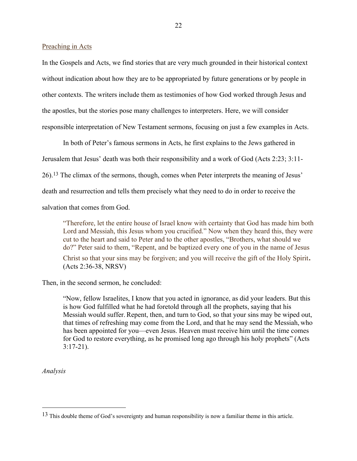Preaching in Acts

In the Gospels and Acts, we find stories that are very much grounded in their historical context without indication about how they are to be appropriated by future generations or by people in other contexts. The writers include them as testimonies of how God worked through Jesus and the apostles, but the stories pose many challenges to interpreters. Here, we will consider responsible interpretation of New Testament sermons, focusing on just a few examples in Acts.

In both of Peter's famous sermons in Acts, he first explains to the Jews gathered in Jerusalem that Jesus' death was both their responsibility and a work of God (Acts 2:23; 3:11- 26).13 The climax of the sermons, though, comes when Peter interprets the meaning of Jesus' death and resurrection and tells them precisely what they need to do in order to receive the salvation that comes from God.

"Therefore, let the entire house of Israel know with certainty that God has made him both Lord and Messiah, this Jesus whom you crucified." Now when they heard this, they were cut to the heart and said to Peter and to the other apostles, "Brothers, what should we do?" Peter said to them, "Repent, and be baptized every one of you in the name of Jesus Christ so that your sins may be forgiven; and you will receive the gift of the Holy Spirit. (Acts 2:36-38, NRSV)

Then, in the second sermon, he concluded:

"Now, fellow Israelites, I know that you acted in ignorance, as did your leaders. But this is how God fulfilled what he had foretold through all the prophets, saying that his Messiah would suffer.Repent, then, and turn to God, so that your sins may be wiped out, that times of refreshing may come from the Lord, and that he may send the Messiah, who has been appointed for you—even Jesus. Heaven must receive him until the time comes for God to restore everything, as he promised long ago through his holy prophets" (Acts 3:17-21).

*Analysis*

<sup>&</sup>lt;sup>13</sup> This double theme of God's sovereignty and human responsibility is now a familiar theme in this article.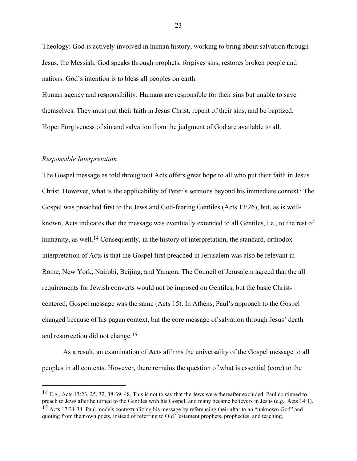Theology: God is actively involved in human history, working to bring about salvation through Jesus, the Messiah. God speaks through prophets, forgives sins, restores broken people and nations. God's intention is to bless all peoples on earth.

Human agency and responsibility: Humans are responsible for their sins but unable to save themselves. They must put their faith in Jesus Christ, repent of their sins, and be baptized. Hope: Forgiveness of sin and salvation from the judgment of God are available to all.

# *Responsible Interpretation*

The Gospel message as told throughout Acts offers great hope to all who put their faith in Jesus Christ. However, what is the applicability of Peter's sermons beyond his immediate context? The Gospel was preached first to the Jews and God-fearing Gentiles (Acts 13:26), but, as is wellknown, Acts indicates that the message was eventually extended to all Gentiles, i.e., to the rest of humanity, as well.<sup>14</sup> Consequently, in the history of interpretation, the standard, orthodox interpretation of Acts is that the Gospel first preached in Jerusalem was also be relevant in Rome, New York, Nairobi, Beijing, and Yangon. The Council of Jerusalem agreed that the all requirements for Jewish converts would not be imposed on Gentiles, but the basic Christcentered, Gospel message was the same (Acts 15). In Athens, Paul's approach to the Gospel changed because of his pagan context, but the core message of salvation through Jesus' death and resurrection did not change.15

As a result, an examination of Acts affirms the universality of the Gospel message to all peoples in all contexts. However, there remains the question of what is essential (core) to the

<sup>14</sup> E.g., Acts 13:23, 25, 32, 38-39, 48. This is not to say that the Jews were thereafter excluded. Paul continued to preach to Jews after he turned to the Gentiles with his Gospel, and many became believers in Jesus (e.g., Acts 14:1).

<sup>15</sup> Acts 17:21-34. Paul models contextualizing his message by referencing their altar to an "unknown God" and quoting from their own poets, instead of referring to Old Testament prophets, prophecies, and teaching.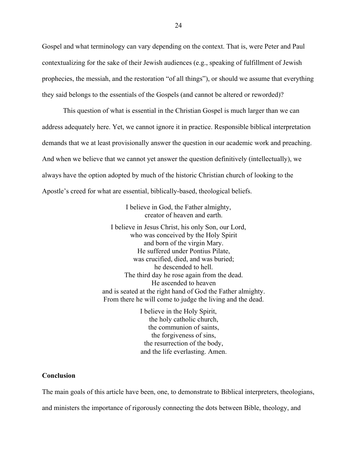Gospel and what terminology can vary depending on the context. That is, were Peter and Paul contextualizing for the sake of their Jewish audiences (e.g., speaking of fulfillment of Jewish prophecies, the messiah, and the restoration "of all things"), or should we assume that everything they said belongs to the essentials of the Gospels (and cannot be altered or reworded)?

This question of what is essential in the Christian Gospel is much larger than we can address adequately here. Yet, we cannot ignore it in practice. Responsible biblical interpretation demands that we at least provisionally answer the question in our academic work and preaching. And when we believe that we cannot yet answer the question definitively (intellectually), we always have the option adopted by much of the historic Christian church of looking to the Apostle's creed for what are essential, biblically-based, theological beliefs.

> I believe in God, the Father almighty, creator of heaven and earth.

I believe in Jesus Christ, his only Son, our Lord, who was conceived by the Holy Spirit and born of the virgin Mary. He suffered under Pontius Pilate, was crucified, died, and was buried; he descended to hell. The third day he rose again from the dead. He ascended to heaven and is seated at the right hand of God the Father almighty. From there he will come to judge the living and the dead.

> I believe in the Holy Spirit, the holy catholic church, the communion of saints, the forgiveness of sins, the resurrection of the body, and the life everlasting. Amen.

# **Conclusion**

The main goals of this article have been, one, to demonstrate to Biblical interpreters, theologians, and ministers the importance of rigorously connecting the dots between Bible, theology, and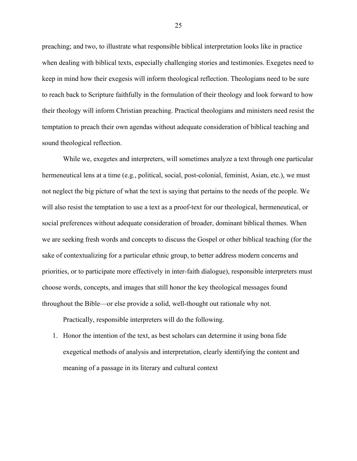preaching; and two, to illustrate what responsible biblical interpretation looks like in practice when dealing with biblical texts, especially challenging stories and testimonies. Exegetes need to keep in mind how their exegesis will inform theological reflection. Theologians need to be sure to reach back to Scripture faithfully in the formulation of their theology and look forward to how their theology will inform Christian preaching. Practical theologians and ministers need resist the temptation to preach their own agendas without adequate consideration of biblical teaching and sound theological reflection.

While we, exegetes and interpreters, will sometimes analyze a text through one particular hermeneutical lens at a time (e.g., political, social, post-colonial, feminist, Asian, etc.), we must not neglect the big picture of what the text is saying that pertains to the needs of the people. We will also resist the temptation to use a text as a proof-text for our theological, hermeneutical, or social preferences without adequate consideration of broader, dominant biblical themes. When we are seeking fresh words and concepts to discuss the Gospel or other biblical teaching (for the sake of contextualizing for a particular ethnic group, to better address modern concerns and priorities, or to participate more effectively in inter-faith dialogue), responsible interpreters must choose words, concepts, and images that still honor the key theological messages found throughout the Bible—or else provide a solid, well-thought out rationale why not.

Practically, responsible interpreters will do the following.

1. Honor the intention of the text, as best scholars can determine it using bona fide exegetical methods of analysis and interpretation, clearly identifying the content and meaning of a passage in its literary and cultural context